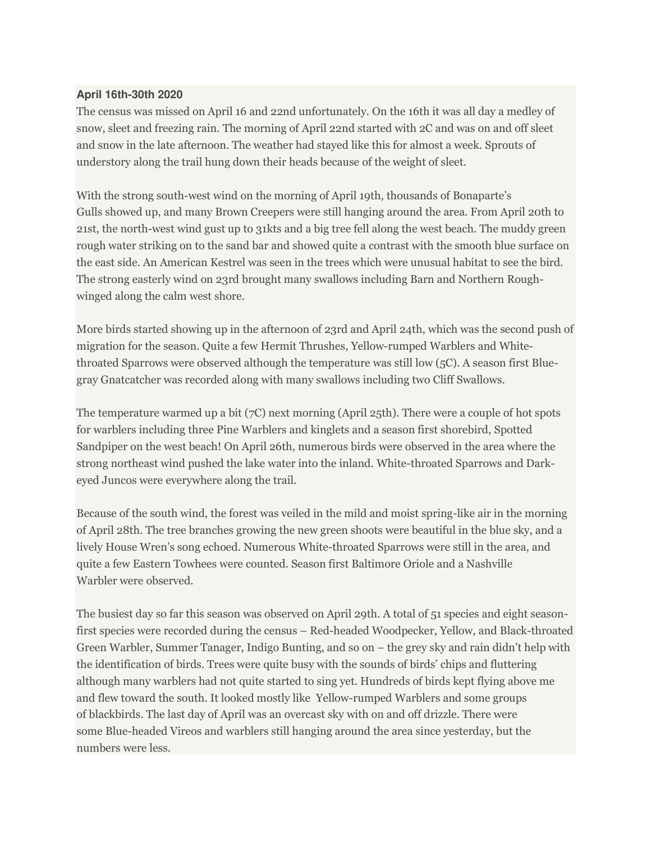## **April 16th-30th 2020**

The census was missed on April 16 and 22nd unfortunately. On the 16th it was all day a medley of snow, sleet and freezing rain. The morning of April 22nd started with 2C and was on and off sleet and snow in the late afternoon. The weather had stayed like this for almost a week. Sprouts of understory along the trail hung down their heads because of the weight of sleet.

With the strong south-west wind on the morning of April 19th, thousands of Bonaparte's Gulls showed up, and many Brown Creepers were still hanging around the area. From April 20th to 21st, the north-west wind gust up to 31kts and a big tree fell along the west beach. The muddy green rough water striking on to the sand bar and showed quite a contrast with the smooth blue surface on the east side. An American Kestrel was seen in the trees which were unusual habitat to see the bird. The strong easterly wind on 23rd brought many swallows including Barn and Northern Roughwinged along the calm west shore.

More birds started showing up in the afternoon of 23rd and April 24th, which was the second push of migration for the season. Quite a few Hermit Thrushes, Yellow-rumped Warblers and Whitethroated Sparrows were observed although the temperature was still low (5C). A season first Bluegray Gnatcatcher was recorded along with many swallows including two Cliff Swallows.

The temperature warmed up a bit (7C) next morning (April 25th). There were a couple of hot spots for warblers including three Pine Warblers and kinglets and a season first shorebird, Spotted Sandpiper on the west beach! On April 26th, numerous birds were observed in the area where the strong northeast wind pushed the lake water into the inland. White-throated Sparrows and Darkeyed Juncos were everywhere along the trail.

Because of the south wind, the forest was veiled in the mild and moist spring-like air in the morning of April 28th. The tree branches growing the new green shoots were beautiful in the blue sky, and a lively House Wren's song echoed. Numerous White-throated Sparrows were still in the area, and quite a few Eastern Towhees were counted. Season first Baltimore Oriole and a Nashville Warbler were observed.

The busiest day so far this season was observed on April 29th. A total of 51 species and eight seasonfirst species were recorded during the census – Red-headed Woodpecker, Yellow, and Black-throated Green Warbler, Summer Tanager, Indigo Bunting, and so on – the grey sky and rain didn't help with the identification of birds. Trees were quite busy with the sounds of birds' chips and fluttering although many warblers had not quite started to sing yet. Hundreds of birds kept flying above me and flew toward the south. It looked mostly like Yellow-rumped Warblers and some groups of blackbirds. The last day of April was an overcast sky with on and off drizzle. There were some Blue-headed Vireos and warblers still hanging around the area since yesterday, but the numbers were less.